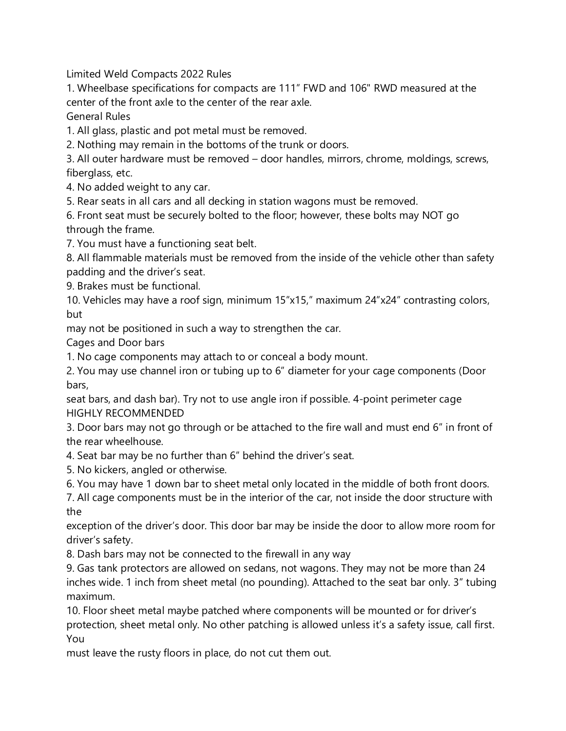Limited Weld Compacts 2022 Rules

1. Wheelbase specifications for compacts are 111" FWD and 106" RWD measured at the center of the front axle to the center of the rear axle.

General Rules

1. All glass, plastic and pot metal must be removed.

2. Nothing may remain in the bottoms of the trunk or doors.

3. All outer hardware must be removed – door handles, mirrors, chrome, moldings, screws, fiberglass, etc.

4. No added weight to any car.

5. Rear seats in all cars and all decking in station wagons must be removed.

6. Front seat must be securely bolted to the floor; however, these bolts may NOT go through the frame.

7. You must have a functioning seat belt.

8. All flammable materials must be removed from the inside of the vehicle other than safety padding and the driver's seat.

9. Brakes must be functional.

10. Vehicles may have a roof sign, minimum 15"x15," maximum 24"x24" contrasting colors, but

may not be positioned in such a way to strengthen the car.

Cages and Door bars

1. No cage components may attach to or conceal a body mount.

2. You may use channel iron or tubing up to 6" diameter for your cage components (Door bars,

seat bars, and dash bar). Try not to use angle iron if possible. 4-point perimeter cage HIGHLY RECOMMENDED

3. Door bars may not go through or be attached to the fire wall and must end 6" in front of the rear wheelhouse.

- 4. Seat bar may be no further than 6" behind the driver's seat.
- 5. No kickers, angled or otherwise.
- 6. You may have 1 down bar to sheet metal only located in the middle of both front doors.
- 7. All cage components must be in the interior of the car, not inside the door structure with the

exception of the driver's door. This door bar may be inside the door to allow more room for driver's safety.

8. Dash bars may not be connected to the firewall in any way

9. Gas tank protectors are allowed on sedans, not wagons. They may not be more than 24 inches wide. 1 inch from sheet metal (no pounding). Attached to the seat bar only. 3" tubing maximum.

10. Floor sheet metal maybe patched where components will be mounted or for driver's protection, sheet metal only. No other patching is allowed unless it's a safety issue, call first. You

must leave the rusty floors in place, do not cut them out.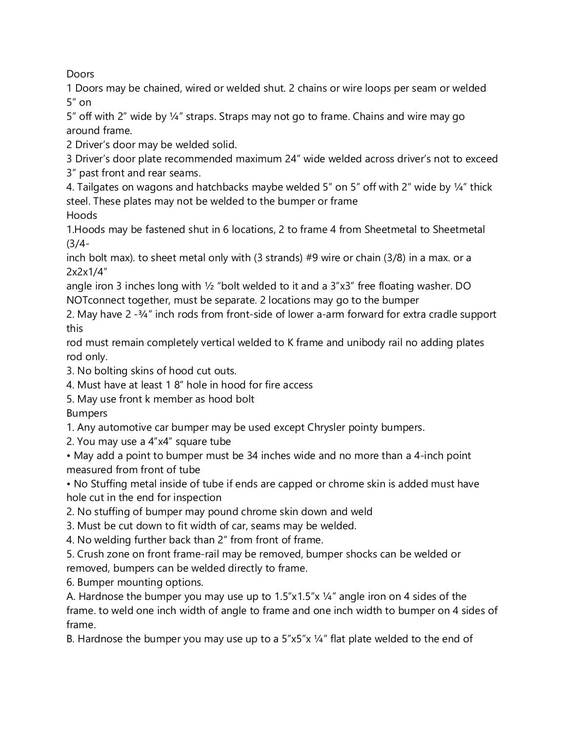**Doors** 

1 Doors may be chained, wired or welded shut. 2 chains or wire loops per seam or welded 5" on

5" off with 2" wide by 1/4" straps. Straps may not go to frame. Chains and wire may go around frame.

2 Driver's door may be welded solid.

3 Driver's door plate recommended maximum 24" wide welded across driver's not to exceed 3" past front and rear seams.

4. Tailgates on wagons and hatchbacks maybe welded 5" on 5" off with 2" wide by ¼" thick steel. These plates may not be welded to the bumper or frame Hoods

1.Hoods may be fastened shut in 6 locations, 2 to frame 4 from Sheetmetal to Sheetmetal (3/4-

inch bolt max). to sheet metal only with (3 strands) #9 wire or chain (3/8) in a max. or a 2x2x1/4"

angle iron 3 inches long with  $\frac{1}{2}$  "bolt welded to it and a  $3"x3"$  free floating washer. DO NOTconnect together, must be separate. 2 locations may go to the bumper

2. May have 2 -¾" inch rods from front-side of lower a-arm forward for extra cradle support this

rod must remain completely vertical welded to K frame and unibody rail no adding plates rod only.

3. No bolting skins of hood cut outs.

4. Must have at least 1 8" hole in hood for fire access

5. May use front k member as hood bolt

Bumpers

1. Any automotive car bumper may be used except Chrysler pointy bumpers.

2. You may use a 4"x4" square tube

• May add a point to bumper must be 34 inches wide and no more than a 4-inch point measured from front of tube

• No Stuffing metal inside of tube if ends are capped or chrome skin is added must have hole cut in the end for inspection

2. No stuffing of bumper may pound chrome skin down and weld

3. Must be cut down to fit width of car, seams may be welded.

4. No welding further back than 2" from front of frame.

5. Crush zone on front frame-rail may be removed, bumper shocks can be welded or removed, bumpers can be welded directly to frame.

6. Bumper mounting options.

A. Hardnose the bumper you may use up to  $1.5"x1.5"x1.4"$  angle iron on 4 sides of the frame. to weld one inch width of angle to frame and one inch width to bumper on 4 sides of frame.

B. Hardnose the bumper you may use up to a 5"x5"x ¼" flat plate welded to the end of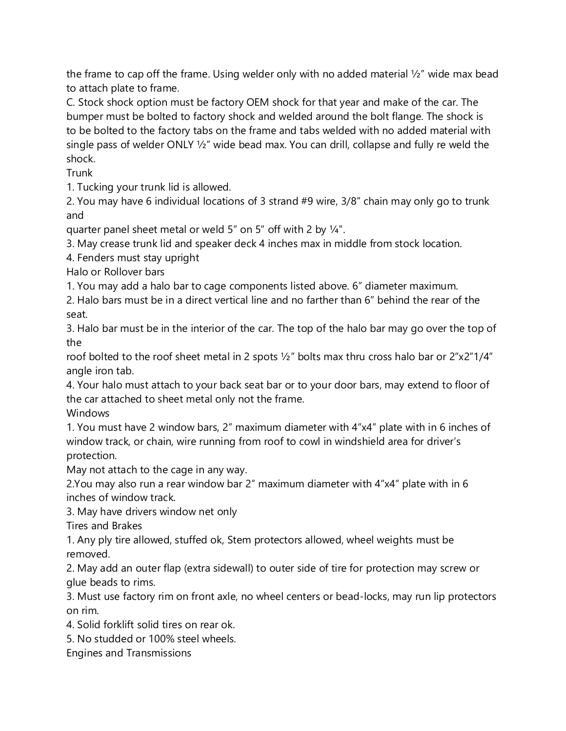the frame to cap off the frame. Using welder only with no added material ½" wide max bead to attach plate to frame.

C. Stock shock option must be factory OEM shock for that year and make of the car. The bumper must be bolted to factory shock and welded around the bolt flange. The shock is to be bolted to the factory tabs on the frame and tabs welded with no added material with single pass of welder ONLY ½" wide bead max. You can drill, collapse and fully re weld the shock.

Trunk

1. Tucking your trunk lid is allowed.

2. You may have 6 individual locations of 3 strand #9 wire, 3/8" chain may only go to trunk and

quarter panel sheet metal or weld 5" on 5" off with 2 by ¼".

3. May crease trunk lid and speaker deck 4 inches max in middle from stock location.

4. Fenders must stay upright

Halo or Rollover bars

1. You may add a halo bar to cage components listed above. 6" diameter maximum.

2. Halo bars must be in a direct vertical line and no farther than 6" behind the rear of the seat.

3. Halo bar must be in the interior of the car. The top of the halo bar may go over the top of the

roof bolted to the roof sheet metal in 2 spots ½" bolts max thru cross halo bar or 2"x2"1/4" angle iron tab.

4. Your halo must attach to your back seat bar or to your door bars, may extend to floor of the car attached to sheet metal only not the frame.

## **Windows**

1. You must have 2 window bars, 2" maximum diameter with 4"x4" plate with in 6 inches of window track, or chain, wire running from roof to cowl in windshield area for driver's protection.

May not attach to the cage in any way.

2.You may also run a rear window bar 2" maximum diameter with 4"x4" plate with in 6 inches of window track.

3. May have drivers window net only

Tires and Brakes

1. Any ply tire allowed, stuffed ok, Stem protectors allowed, wheel weights must be removed.

2. May add an outer flap (extra sidewall) to outer side of tire for protection may screw or glue beads to rims.

3. Must use factory rim on front axle, no wheel centers or bead-locks, may run lip protectors on rim.

4. Solid forklift solid tires on rear ok.

5. No studded or 100% steel wheels.

Engines and Transmissions